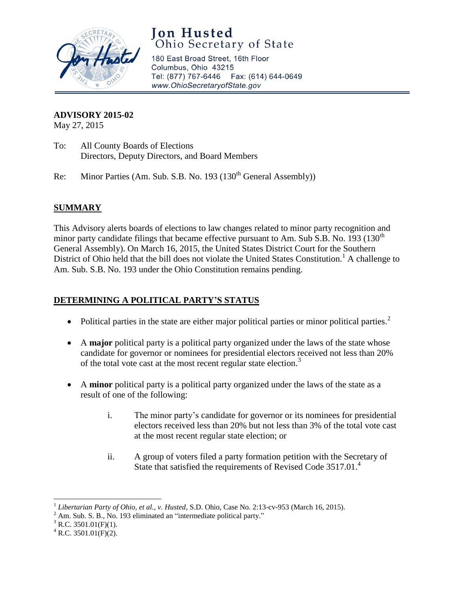

# **Jon Husted**<br>Ohio Secretary of State

180 East Broad Street, 16th Floor Columbus, Ohio 43215 Tel: (877) 767-6446 Fax: (614) 644-0649 www.OhioSecretaryofState.gov

#### **ADVISORY 2015-02**

May 27, 2015

- To: All County Boards of Elections Directors, Deputy Directors, and Board Members
- Re: Minor Parties (Am. Sub. S.B. No. 193 (130<sup>th</sup> General Assembly))

## **SUMMARY**

This Advisory alerts boards of elections to law changes related to minor party recognition and minor party candidate filings that became effective pursuant to Am. Sub S.B. No. 193 (130<sup>th</sup>) General Assembly). On March 16, 2015, the United States District Court for the Southern District of Ohio held that the bill does not violate the United States Constitution.<sup>1</sup> A challenge to Am. Sub. S.B. No. 193 under the Ohio Constitution remains pending.

## **DETERMINING A POLITICAL PARTY'S STATUS**

- Political parties in the state are either major political parties or minor political parties.<sup>2</sup>
- A **major** political party is a political party organized under the laws of the state whose candidate for governor or nominees for presidential electors received not less than 20% of the total vote cast at the most recent regular state election.<sup>3</sup>
- A **minor** political party is a political party organized under the laws of the state as a result of one of the following:
	- i. The minor party's candidate for governor or its nominees for presidential electors received less than 20% but not less than 3% of the total vote cast at the most recent regular state election; or
	- ii. A group of voters filed a party formation petition with the Secretary of State that satisfied the requirements of Revised Code 3517.01.<sup>4</sup>

 $3$  R.C. 3501.01(F)(1).

 $\overline{\phantom{a}}$ 

<sup>&</sup>lt;sup>1</sup> Libertarian Party of Ohio, et al., v. Husted, S.D. Ohio, Case No. 2:13-cv-953 (March 16, 2015).

 $2 \text{ Am. Sub. S. B., No. 193 eliminated an "intermediate political party."}$ 

 $^4$  R.C. 3501.01(F)(2).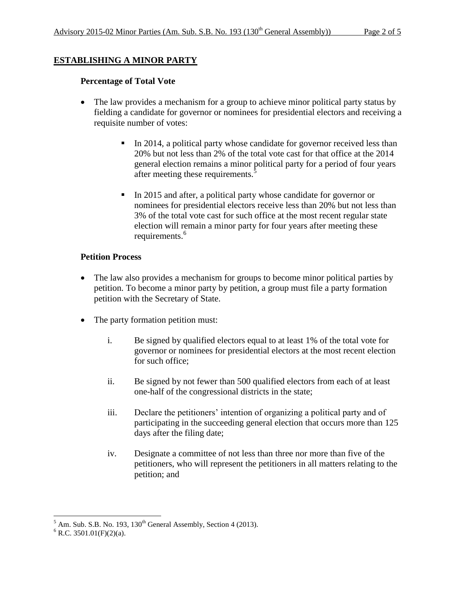## **ESTABLISHING A MINOR PARTY**

#### **Percentage of Total Vote**

- The law provides a mechanism for a group to achieve minor political party status by fielding a candidate for governor or nominees for presidential electors and receiving a requisite number of votes:
	- In 2014, a political party whose candidate for governor received less than 20% but not less than 2% of the total vote cast for that office at the 2014 general election remains a minor political party for a period of four years after meeting these requirements.<sup>5</sup>
	- In 2015 and after, a political party whose candidate for governor or nominees for presidential electors receive less than 20% but not less than 3% of the total vote cast for such office at the most recent regular state election will remain a minor party for four years after meeting these requirements.<sup>6</sup>

#### **Petition Process**

- The law also provides a mechanism for groups to become minor political parties by petition. To become a minor party by petition, a group must file a party formation petition with the Secretary of State.
- The party formation petition must:
	- i. Be signed by qualified electors equal to at least 1% of the total vote for governor or nominees for presidential electors at the most recent election for such office;
	- ii. Be signed by not fewer than 500 qualified electors from each of at least one-half of the congressional districts in the state;
	- iii. Declare the petitioners' intention of organizing a political party and of participating in the succeeding general election that occurs more than 125 days after the filing date;
	- iv. Designate a committee of not less than three nor more than five of the petitioners, who will represent the petitioners in all matters relating to the petition; and

 $\overline{\phantom{a}}$  $<sup>5</sup>$  Am. Sub. S.B. No. 193, 130<sup>th</sup> General Assembly, Section 4 (2013).</sup>

 $6$  R.C. 3501.01(F)(2)(a).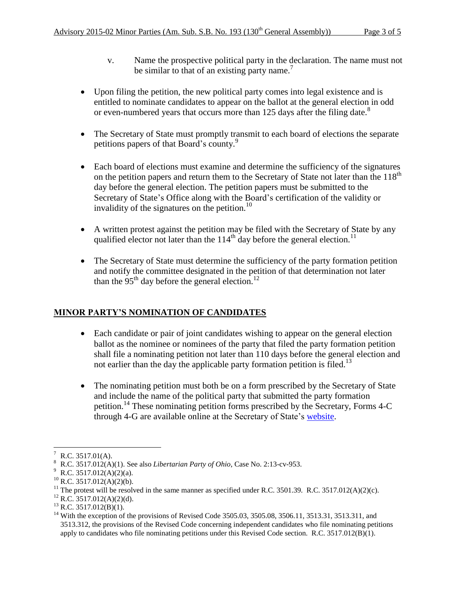- v. Name the prospective political party in the declaration. The name must not be similar to that of an existing party name.<sup>7</sup>
- Upon filing the petition, the new political party comes into legal existence and is entitled to nominate candidates to appear on the ballot at the general election in odd or even-numbered years that occurs more than 125 days after the filing date.<sup>8</sup>
- The Secretary of State must promptly transmit to each board of elections the separate petitions papers of that Board's county.<sup>9</sup>
- Each board of elections must examine and determine the sufficiency of the signatures on the petition papers and return them to the Secretary of State not later than the  $118<sup>th</sup>$ day before the general election. The petition papers must be submitted to the Secretary of State's Office along with the Board's certification of the validity or invalidity of the signatures on the petition.<sup>10</sup>
- A written protest against the petition may be filed with the Secretary of State by any qualified elector not later than the  $114<sup>th</sup>$  day before the general election.<sup>11</sup>
- The Secretary of State must determine the sufficiency of the party formation petition and notify the committee designated in the petition of that determination not later than the 95<sup>th</sup> day before the general election.<sup>12</sup>

## **MINOR PARTY'S NOMINATION OF CANDIDATES**

- Each candidate or pair of joint candidates wishing to appear on the general election ballot as the nominee or nominees of the party that filed the party formation petition shall file a nominating petition not later than 110 days before the general election and not earlier than the day the applicable party formation petition is filed.<sup>13</sup>
- The nominating petition must both be on a form prescribed by the Secretary of State and include the name of the political party that submitted the party formation petition.<sup>14</sup> These nominating petition forms prescribed by the Secretary, Forms 4-C through 4-G are available online at the Secretary of State's [website.](http://www.sos.state.oh.us/sos/elections/electionsofficials/forms.aspx)

 $12$  R.C. 3517.012(A)(2)(d).

 $\overline{\phantom{a}}$  $R.C. 3517.01(A).$ 

<sup>8</sup> R.C. 3517.012(A)(1). See also *Libertarian Party of Ohio*, Case No. 2:13-cv-953.

R.C. 3517.012(A)(2)(a).

 $^{10}$  R.C. 3517.012(A)(2)(b).

<sup>&</sup>lt;sup>11</sup> The protest will be resolved in the same manner as specified under R.C. 3501.39. R.C. 3517.012(A)(2)(c).

 $^{13}$  R.C. 3517.012(B)(1).

<sup>&</sup>lt;sup>14</sup> With the exception of the provisions of Revised Code 3505.03, 3505.08, 3506.11, 3513.31, 3513.311, and 3513.312, the provisions of the Revised Code concerning independent candidates who file nominating petitions apply to candidates who file nominating petitions under this Revised Code section. R.C. 3517.012(B)(1).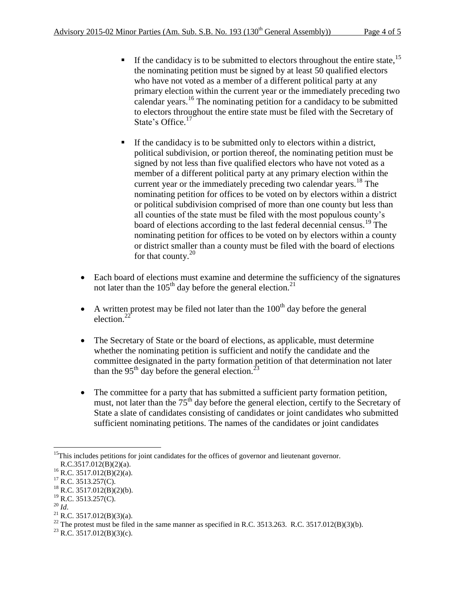- If the candidacy is to be submitted to electors throughout the entire state, $15$ the nominating petition must be signed by at least 50 qualified electors who have not voted as a member of a different political party at any primary election within the current year or the immediately preceding two calendar years.<sup>16</sup> The nominating petition for a candidacy to be submitted to electors throughout the entire state must be filed with the Secretary of State's Office.<sup>17</sup>
- If the candidacy is to be submitted only to electors within a district, political subdivision, or portion thereof, the nominating petition must be signed by not less than five qualified electors who have not voted as a member of a different political party at any primary election within the current year or the immediately preceding two calendar years.<sup>18</sup> The nominating petition for offices to be voted on by electors within a district or political subdivision comprised of more than one county but less than all counties of the state must be filed with the most populous county's board of elections according to the last federal decennial census.<sup>19</sup> The nominating petition for offices to be voted on by electors within a county or district smaller than a county must be filed with the board of elections for that county. $20$
- Each board of elections must examine and determine the sufficiency of the signatures not later than the  $105<sup>th</sup>$  day before the general election.<sup>21</sup>
- A written protest may be filed not later than the  $100<sup>th</sup>$  day before the general election.<sup>22</sup>
- The Secretary of State or the board of elections, as applicable, must determine whether the nominating petition is sufficient and notify the candidate and the committee designated in the party formation petition of that determination not later than the 95<sup>th</sup> day before the general election.<sup>23</sup>
- The committee for a party that has submitted a sufficient party formation petition, must, not later than the  $75<sup>th</sup>$  day before the general election, certify to the Secretary of State a slate of candidates consisting of candidates or joint candidates who submitted sufficient nominating petitions. The names of the candidates or joint candidates

<sup>20</sup> *Id*.

 $\overline{\phantom{a}}$ <sup>15</sup>This includes petitions for joint candidates for the offices of governor and lieutenant governor.  $R.C.3517.012(B)(2)(a)$ .

 $^{16}$  R.C. 3517.012(B)(2)(a).

 $17$  R.C. 3513.257(C).

 $^{18}$  R.C. 3517.012(B)(2)(b).

 $^{19}$  R.C. 3513.257(C).

 $^{21}$  R.C. 3517.012(B)(3)(a).

<sup>&</sup>lt;sup>22</sup> The protest must be filed in the same manner as specified in R.C. 3513.263. R.C. 3517.012(B)(3)(b).

<sup>&</sup>lt;sup>23</sup> R.C. 3517.012(B)(3)(c).